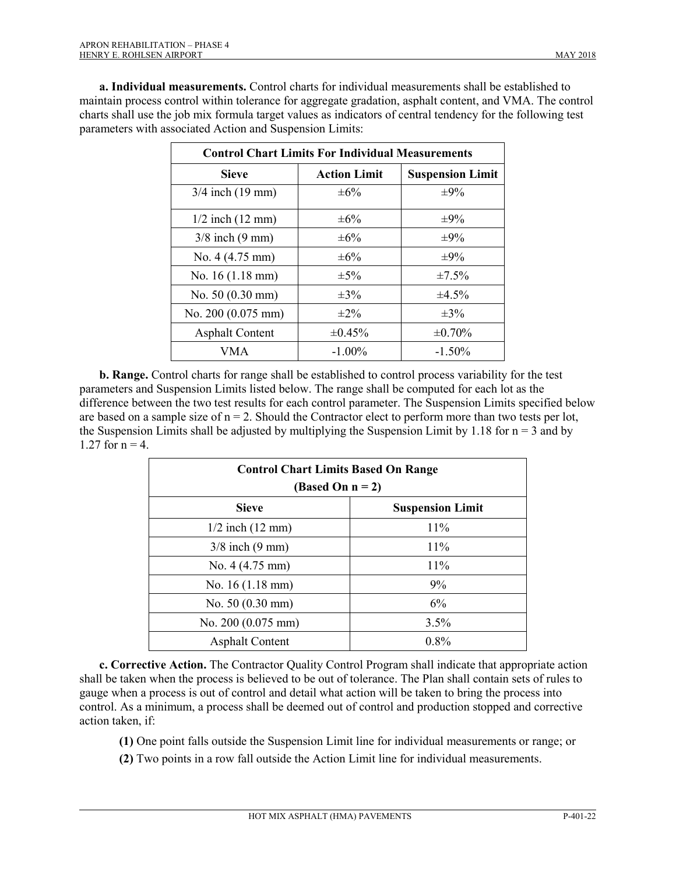**a. Individual measurements.** Control charts for individual measurements shall be established to maintain process control within tolerance for aggregate gradation, asphalt content, and VMA. The control charts shall use the job mix formula target values as indicators of central tendency for the following test parameters with associated Action and Suspension Limits:

| <b>Control Chart Limits For Individual Measurements</b> |                     |                         |
|---------------------------------------------------------|---------------------|-------------------------|
| <b>Sieve</b>                                            | <b>Action Limit</b> | <b>Suspension Limit</b> |
| $3/4$ inch $(19$ mm)                                    | $\pm 6\%$           | $\pm 9\%$               |
| $1/2$ inch $(12 \text{ mm})$                            | $\pm 6\%$           | $\pm 9\%$               |
| $3/8$ inch $(9 \text{ mm})$                             | $\pm 6\%$           | $\pm 9\%$               |
| No. $4(4.75 \text{ mm})$                                | $\pm 6\%$           | $\pm 9\%$               |
| No. 16 (1.18 mm)                                        | $\pm$ 5%            | $\pm 7.5\%$             |
| No. 50 (0.30 mm)                                        | $\pm 3\%$           | ±4.5%                   |
| No. 200 (0.075 mm)                                      | $\pm 2\%$           | $\pm 3\%$               |
| <b>Asphalt Content</b>                                  | $\pm 0.45\%$        | $\pm 0.70\%$            |
| VMA                                                     | $-1.00\%$           | $-1.50\%$               |

**b. Range.** Control charts for range shall be established to control process variability for the test parameters and Suspension Limits listed below. The range shall be computed for each lot as the difference between the two test results for each control parameter. The Suspension Limits specified below are based on a sample size of  $n = 2$ . Should the Contractor elect to perform more than two tests per lot, the Suspension Limits shall be adjusted by multiplying the Suspension Limit by 1.18 for  $n = 3$  and by 1.27 for  $n = 4$ .

| <b>Control Chart Limits Based On Range</b><br>(Based On $n = 2$ ) |                         |
|-------------------------------------------------------------------|-------------------------|
| <b>Sieve</b>                                                      | <b>Suspension Limit</b> |
| $1/2$ inch $(12 \text{ mm})$                                      | 11%                     |
| $3/8$ inch $(9 \text{ mm})$                                       | 11%                     |
| No. $4(4.75 \text{ mm})$                                          | $11\%$                  |
| No. $16(1.18 \text{ mm})$                                         | 9%                      |
| No. 50 (0.30 mm)                                                  | 6%                      |
| No. 200 (0.075 mm)                                                | $3.5\%$                 |
| <b>Asphalt Content</b>                                            | $0.8\%$                 |

**c. Corrective Action.** The Contractor Quality Control Program shall indicate that appropriate action shall be taken when the process is believed to be out of tolerance. The Plan shall contain sets of rules to gauge when a process is out of control and detail what action will be taken to bring the process into control. As a minimum, a process shall be deemed out of control and production stopped and corrective action taken, if:

- **(1)** One point falls outside the Suspension Limit line for individual measurements or range; or
- **(2)** Two points in a row fall outside the Action Limit line for individual measurements.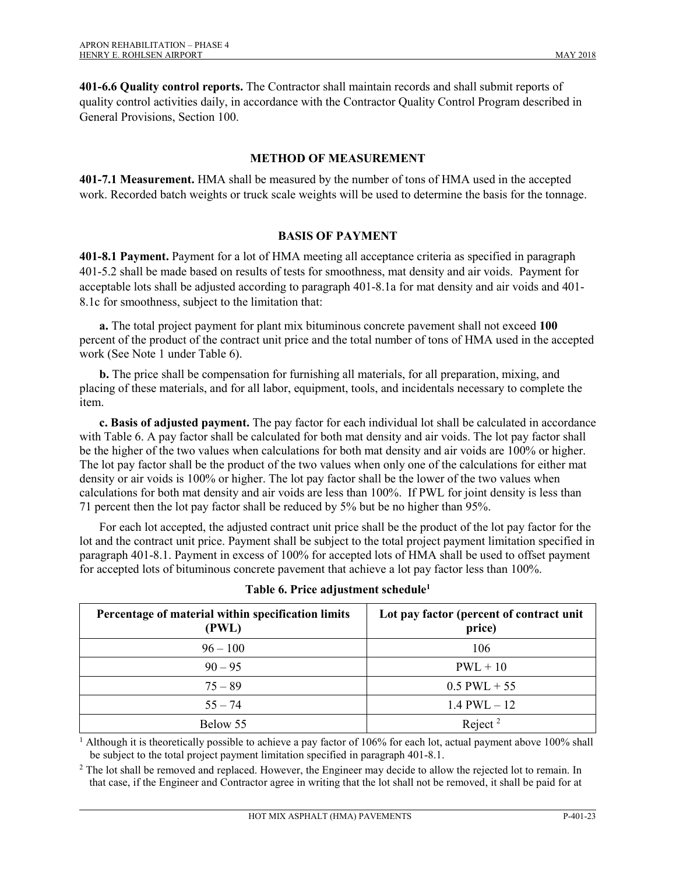**401-6.6 Quality control reports.** The Contractor shall maintain records and shall submit reports of quality control activities daily, in accordance with the Contractor Quality Control Program described in General Provisions, Section 100.

## **METHOD OF MEASUREMENT**

**401-7.1 Measurement.** HMA shall be measured by the number of tons of HMA used in the accepted work. Recorded batch weights or truck scale weights will be used to determine the basis for the tonnage.

## **BASIS OF PAYMENT**

**401-8.1 Payment.** Payment for a lot of HMA meeting all acceptance criteria as specified in paragraph 401-5.2 shall be made based on results of tests for smoothness, mat density and air voids. Payment for acceptable lots shall be adjusted according to paragraph 401-8.1a for mat density and air voids and 401- 8.1c for smoothness, subject to the limitation that:

**a.** The total project payment for plant mix bituminous concrete pavement shall not exceed **100** percent of the product of the contract unit price and the total number of tons of HMA used in the accepted work (See Note 1 under Table 6).

**b.** The price shall be compensation for furnishing all materials, for all preparation, mixing, and placing of these materials, and for all labor, equipment, tools, and incidentals necessary to complete the item.

**c. Basis of adjusted payment.** The pay factor for each individual lot shall be calculated in accordance with Table 6. A pay factor shall be calculated for both mat density and air voids. The lot pay factor shall be the higher of the two values when calculations for both mat density and air voids are 100% or higher. The lot pay factor shall be the product of the two values when only one of the calculations for either mat density or air voids is 100% or higher. The lot pay factor shall be the lower of the two values when calculations for both mat density and air voids are less than 100%. If PWL for joint density is less than 71 percent then the lot pay factor shall be reduced by 5% but be no higher than 95%.

For each lot accepted, the adjusted contract unit price shall be the product of the lot pay factor for the lot and the contract unit price. Payment shall be subject to the total project payment limitation specified in paragraph 401-8.1. Payment in excess of 100% for accepted lots of HMA shall be used to offset payment for accepted lots of bituminous concrete pavement that achieve a lot pay factor less than 100%.

| Percentage of material within specification limits<br>(PWL) | Lot pay factor (percent of contract unit<br>price) |
|-------------------------------------------------------------|----------------------------------------------------|
| $96 - 100$                                                  | 106                                                |
| $90 - 95$                                                   | $PWL + 10$                                         |
| $75 - 89$                                                   | $0.5$ PWL + 55                                     |
| $55 - 74$                                                   | $1.4$ PWL $-12$                                    |
| Below 55                                                    | Reject <sup>2</sup>                                |

<sup>1</sup> Although it is theoretically possible to achieve a pay factor of 106% for each lot, actual payment above 100% shall be subject to the total project payment limitation specified in paragraph 401-8.1.

 $2$  The lot shall be removed and replaced. However, the Engineer may decide to allow the rejected lot to remain. In that case, if the Engineer and Contractor agree in writing that the lot shall not be removed, it shall be paid for at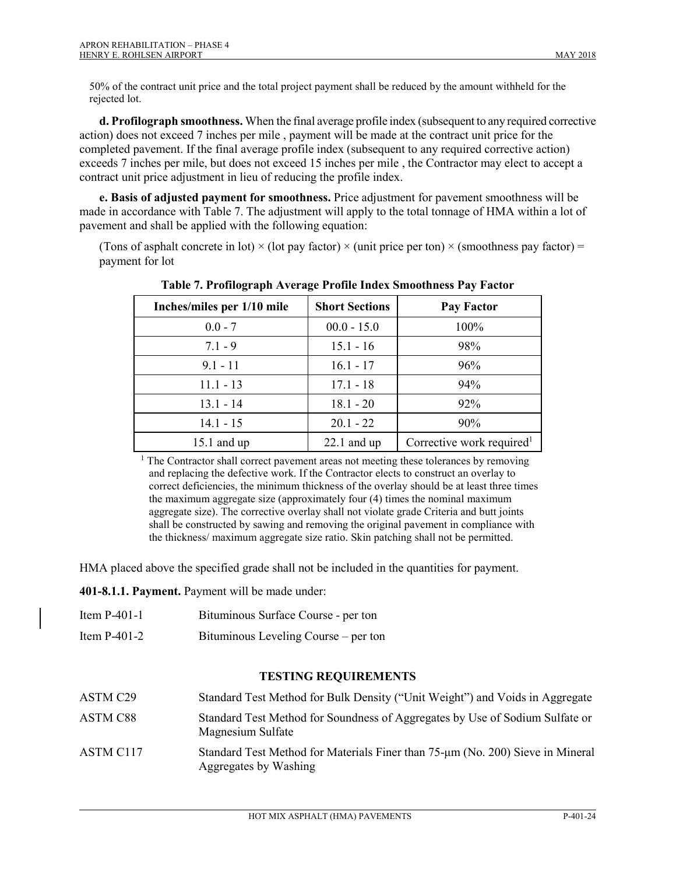50% of the contract unit price and the total project payment shall be reduced by the amount withheld for the rejected lot.

**d. Profilograph smoothness.** When the final average profile index (subsequent to any required corrective action) does not exceed 7 inches per mile , payment will be made at the contract unit price for the completed pavement. If the final average profile index (subsequent to any required corrective action) exceeds 7 inches per mile, but does not exceed 15 inches per mile , the Contractor may elect to accept a contract unit price adjustment in lieu of reducing the profile index.

**e. Basis of adjusted payment for smoothness.** Price adjustment for pavement smoothness will be made in accordance with Table 7. The adjustment will apply to the total tonnage of HMA within a lot of pavement and shall be applied with the following equation:

(Tons of asphalt concrete in lot)  $\times$  (lot pay factor)  $\times$  (unit price per ton)  $\times$  (smoothness pay factor) = payment for lot

| Inches/miles per 1/10 mile | <b>Short Sections</b> | <b>Pay Factor</b>                     |
|----------------------------|-----------------------|---------------------------------------|
| $0.0 - 7$                  | $00.0 - 15.0$         | 100%                                  |
| $7.1 - 9$                  | $15.1 - 16$           | 98%                                   |
| $9.1 - 11$                 | $16.1 - 17$           | 96%                                   |
| $11.1 - 13$                | $17.1 - 18$           | 94%                                   |
| $13.1 - 14$                | $18.1 - 20$           | 92%                                   |
| $14.1 - 15$                | $20.1 - 22$           | 90%                                   |
| $15.1$ and up              | $22.1$ and up         | Corrective work required <sup>1</sup> |

**Table 7. Profilograph Average Profile Index Smoothness Pay Factor** 

<sup>1</sup> The Contractor shall correct pavement areas not meeting these tolerances by removing and replacing the defective work. If the Contractor elects to construct an overlay to correct deficiencies, the minimum thickness of the overlay should be at least three times the maximum aggregate size (approximately four (4) times the nominal maximum aggregate size). The corrective overlay shall not violate grade Criteria and butt joints shall be constructed by sawing and removing the original pavement in compliance with the thickness/ maximum aggregate size ratio. Skin patching shall not be permitted.

HMA placed above the specified grade shall not be included in the quantities for payment.

**401-8.1.1. Payment.** Payment will be made under:

- Item P-401-1 Bituminous Surface Course per ton
- Item P-401-2 Bituminous Leveling Course per ton

#### **TESTING REQUIREMENTS**

| ASTM C29              | Standard Test Method for Bulk Density ("Unit Weight") and Voids in Aggregate                            |
|-----------------------|---------------------------------------------------------------------------------------------------------|
| ASTM C88              | Standard Test Method for Soundness of Aggregates by Use of Sodium Sulfate or<br>Magnesium Sulfate       |
| ASTM C <sub>117</sub> | Standard Test Method for Materials Finer than 75-µm (No. 200) Sieve in Mineral<br>Aggregates by Washing |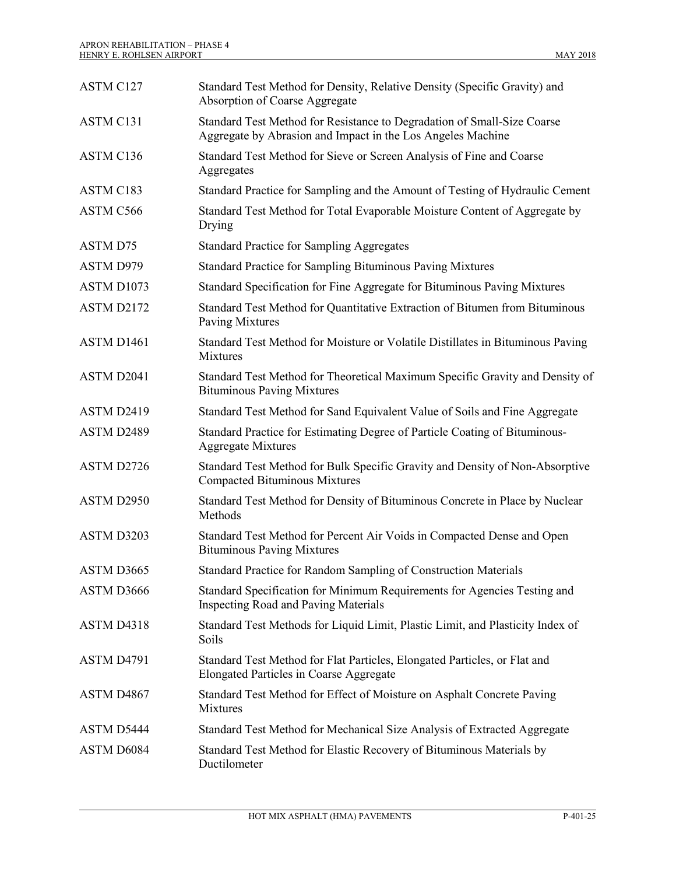| ASTM C127       | Standard Test Method for Density, Relative Density (Specific Gravity) and<br>Absorption of Coarse Aggregate                            |
|-----------------|----------------------------------------------------------------------------------------------------------------------------------------|
| ASTM C131       | Standard Test Method for Resistance to Degradation of Small-Size Coarse<br>Aggregate by Abrasion and Impact in the Los Angeles Machine |
| ASTM C136       | Standard Test Method for Sieve or Screen Analysis of Fine and Coarse<br>Aggregates                                                     |
| ASTM C183       | Standard Practice for Sampling and the Amount of Testing of Hydraulic Cement                                                           |
| ASTM C566       | Standard Test Method for Total Evaporable Moisture Content of Aggregate by<br>Drying                                                   |
| <b>ASTM D75</b> | <b>Standard Practice for Sampling Aggregates</b>                                                                                       |
| ASTM D979       | <b>Standard Practice for Sampling Bituminous Paving Mixtures</b>                                                                       |
| ASTM D1073      | Standard Specification for Fine Aggregate for Bituminous Paving Mixtures                                                               |
| ASTM D2172      | Standard Test Method for Quantitative Extraction of Bitumen from Bituminous<br>Paving Mixtures                                         |
| ASTM D1461      | Standard Test Method for Moisture or Volatile Distillates in Bituminous Paving<br>Mixtures                                             |
| ASTM D2041      | Standard Test Method for Theoretical Maximum Specific Gravity and Density of<br><b>Bituminous Paving Mixtures</b>                      |
| ASTM D2419      | Standard Test Method for Sand Equivalent Value of Soils and Fine Aggregate                                                             |
| ASTM D2489      | Standard Practice for Estimating Degree of Particle Coating of Bituminous-<br><b>Aggregate Mixtures</b>                                |
| ASTM D2726      | Standard Test Method for Bulk Specific Gravity and Density of Non-Absorptive<br><b>Compacted Bituminous Mixtures</b>                   |
| ASTM D2950      | Standard Test Method for Density of Bituminous Concrete in Place by Nuclear<br>Methods                                                 |
| ASTM D3203      | Standard Test Method for Percent Air Voids in Compacted Dense and Open<br><b>Bituminous Paving Mixtures</b>                            |
| ASTM D3665      | Standard Practice for Random Sampling of Construction Materials                                                                        |
| ASTM D3666      | Standard Specification for Minimum Requirements for Agencies Testing and<br><b>Inspecting Road and Paving Materials</b>                |
| ASTM D4318      | Standard Test Methods for Liquid Limit, Plastic Limit, and Plasticity Index of<br>Soils                                                |
| ASTM D4791      | Standard Test Method for Flat Particles, Elongated Particles, or Flat and<br>Elongated Particles in Coarse Aggregate                   |
| ASTM D4867      | Standard Test Method for Effect of Moisture on Asphalt Concrete Paving<br><b>Mixtures</b>                                              |
| ASTM D5444      | Standard Test Method for Mechanical Size Analysis of Extracted Aggregate                                                               |
| ASTM D6084      | Standard Test Method for Elastic Recovery of Bituminous Materials by<br>Ductilometer                                                   |
|                 |                                                                                                                                        |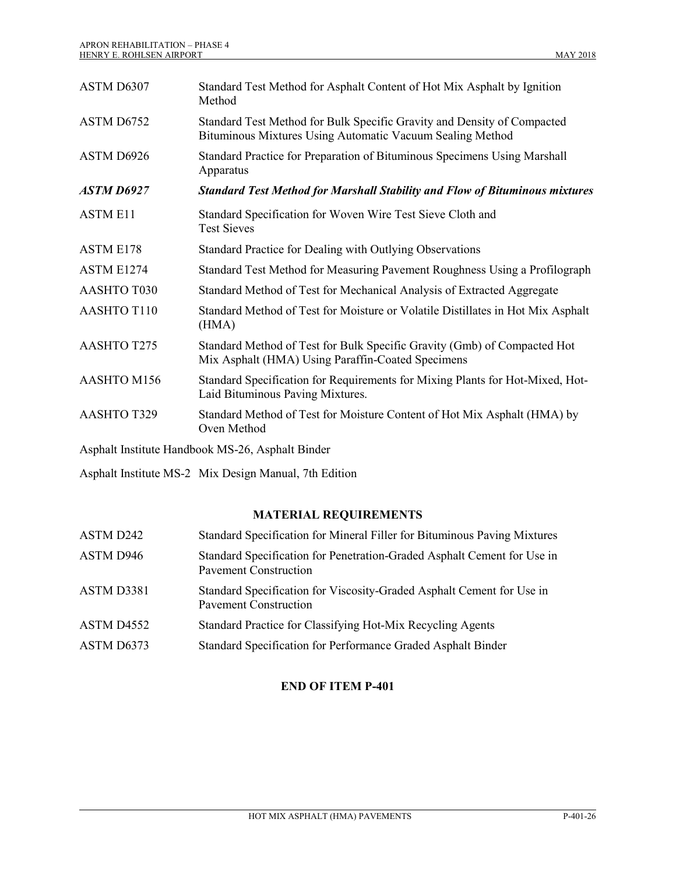| ASTM D6307        | Standard Test Method for Asphalt Content of Hot Mix Asphalt by Ignition<br>Method                                                    |
|-------------------|--------------------------------------------------------------------------------------------------------------------------------------|
| ASTM D6752        | Standard Test Method for Bulk Specific Gravity and Density of Compacted<br>Bituminous Mixtures Using Automatic Vacuum Sealing Method |
| ASTM D6926        | Standard Practice for Preparation of Bituminous Specimens Using Marshall<br>Apparatus                                                |
| <b>ASTM D6927</b> | <b>Standard Test Method for Marshall Stability and Flow of Bituminous mixtures</b>                                                   |
| <b>ASTM E11</b>   | Standard Specification for Woven Wire Test Sieve Cloth and<br><b>Test Sieves</b>                                                     |
| ASTM E178         | Standard Practice for Dealing with Outlying Observations                                                                             |
| ASTM E1274        | Standard Test Method for Measuring Pavement Roughness Using a Profilograph                                                           |
| AASHTO T030       | Standard Method of Test for Mechanical Analysis of Extracted Aggregate                                                               |
| AASHTO T110       | Standard Method of Test for Moisture or Volatile Distillates in Hot Mix Asphalt<br>(HMA)                                             |
| AASHTO T275       | Standard Method of Test for Bulk Specific Gravity (Gmb) of Compacted Hot<br>Mix Asphalt (HMA) Using Paraffin-Coated Specimens        |
| AASHTO M156       | Standard Specification for Requirements for Mixing Plants for Hot-Mixed, Hot-<br>Laid Bituminous Paving Mixtures.                    |
| AASHTO T329       | Standard Method of Test for Moisture Content of Hot Mix Asphalt (HMA) by<br>Oven Method                                              |
|                   | Asphalt Institute Handbook MS-26, Asphalt Binder                                                                                     |

Asphalt Institute MS-2 Mix Design Manual, 7th Edition

## **MATERIAL REQUIREMENTS**

| ASTM D242  | Standard Specification for Mineral Filler for Bituminous Paving Mixtures                                |
|------------|---------------------------------------------------------------------------------------------------------|
| ASTM D946  | Standard Specification for Penetration-Graded Asphalt Cement for Use in<br><b>Pavement Construction</b> |
| ASTM D3381 | Standard Specification for Viscosity-Graded Asphalt Cement for Use in<br><b>Pavement Construction</b>   |
| ASTM D4552 | Standard Practice for Classifying Hot-Mix Recycling Agents                                              |
| ASTM D6373 | Standard Specification for Performance Graded Asphalt Binder                                            |

# **END OF ITEM P-401**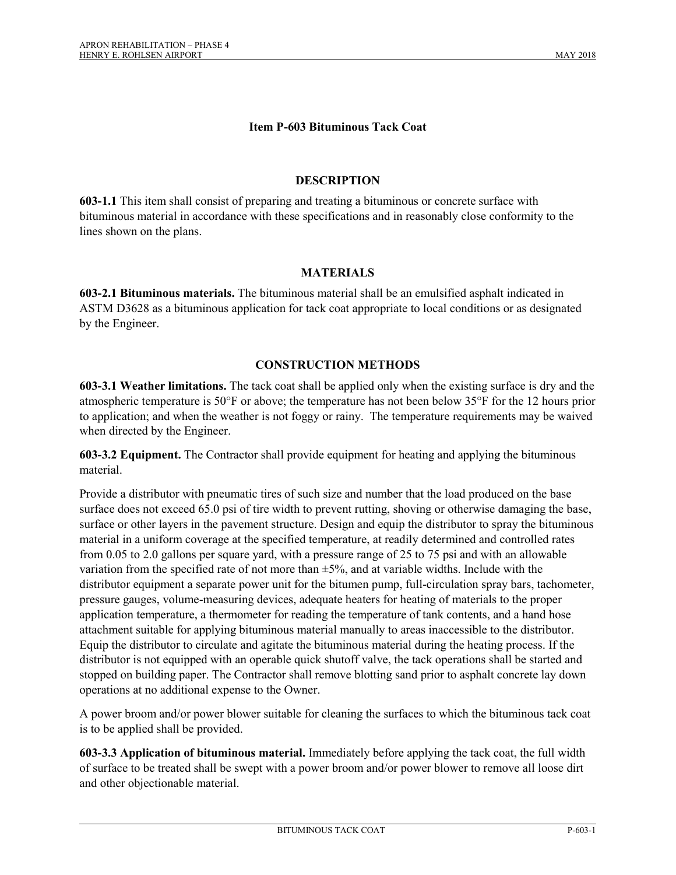### **Item P-603 Bituminous Tack Coat**

#### **DESCRIPTION**

**603-1.1** This item shall consist of preparing and treating a bituminous or concrete surface with bituminous material in accordance with these specifications and in reasonably close conformity to the lines shown on the plans.

#### **MATERIALS**

**603-2.1 Bituminous materials.** The bituminous material shall be an emulsified asphalt indicated in ASTM D3628 as a bituminous application for tack coat appropriate to local conditions or as designated by the Engineer.

## **CONSTRUCTION METHODS**

**603-3.1 Weather limitations.** The tack coat shall be applied only when the existing surface is dry and the atmospheric temperature is 50°F or above; the temperature has not been below 35°F for the 12 hours prior to application; and when the weather is not foggy or rainy. The temperature requirements may be waived when directed by the Engineer.

**603-3.2 Equipment.** The Contractor shall provide equipment for heating and applying the bituminous material.

Provide a distributor with pneumatic tires of such size and number that the load produced on the base surface does not exceed 65.0 psi of tire width to prevent rutting, shoving or otherwise damaging the base, surface or other layers in the pavement structure. Design and equip the distributor to spray the bituminous material in a uniform coverage at the specified temperature, at readily determined and controlled rates from 0.05 to 2.0 gallons per square yard, with a pressure range of 25 to 75 psi and with an allowable variation from the specified rate of not more than  $\pm 5\%$ , and at variable widths. Include with the distributor equipment a separate power unit for the bitumen pump, full-circulation spray bars, tachometer, pressure gauges, volume-measuring devices, adequate heaters for heating of materials to the proper application temperature, a thermometer for reading the temperature of tank contents, and a hand hose attachment suitable for applying bituminous material manually to areas inaccessible to the distributor. Equip the distributor to circulate and agitate the bituminous material during the heating process. If the distributor is not equipped with an operable quick shutoff valve, the tack operations shall be started and stopped on building paper. The Contractor shall remove blotting sand prior to asphalt concrete lay down operations at no additional expense to the Owner.

A power broom and/or power blower suitable for cleaning the surfaces to which the bituminous tack coat is to be applied shall be provided.

**603-3.3 Application of bituminous material.** Immediately before applying the tack coat, the full width of surface to be treated shall be swept with a power broom and/or power blower to remove all loose dirt and other objectionable material.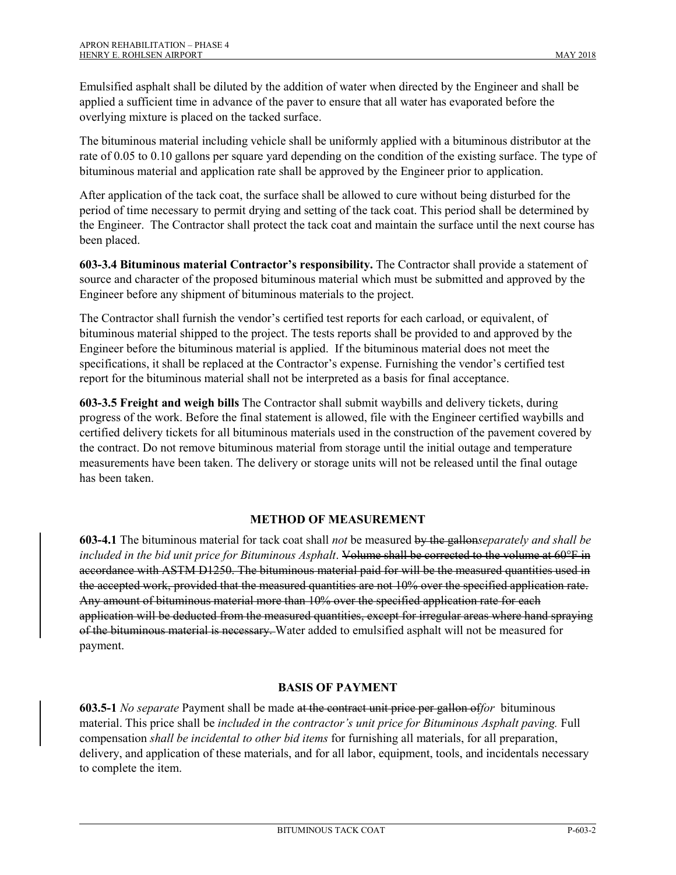Emulsified asphalt shall be diluted by the addition of water when directed by the Engineer and shall be applied a sufficient time in advance of the paver to ensure that all water has evaporated before the overlying mixture is placed on the tacked surface.

The bituminous material including vehicle shall be uniformly applied with a bituminous distributor at the rate of 0.05 to 0.10 gallons per square yard depending on the condition of the existing surface. The type of bituminous material and application rate shall be approved by the Engineer prior to application.

After application of the tack coat, the surface shall be allowed to cure without being disturbed for the period of time necessary to permit drying and setting of the tack coat. This period shall be determined by the Engineer. The Contractor shall protect the tack coat and maintain the surface until the next course has been placed.

**603-3.4 Bituminous material Contractor's responsibility.** The Contractor shall provide a statement of source and character of the proposed bituminous material which must be submitted and approved by the Engineer before any shipment of bituminous materials to the project.

The Contractor shall furnish the vendor's certified test reports for each carload, or equivalent, of bituminous material shipped to the project. The tests reports shall be provided to and approved by the Engineer before the bituminous material is applied. If the bituminous material does not meet the specifications, it shall be replaced at the Contractor's expense. Furnishing the vendor's certified test report for the bituminous material shall not be interpreted as a basis for final acceptance.

**603-3.5 Freight and weigh bills** The Contractor shall submit waybills and delivery tickets, during progress of the work. Before the final statement is allowed, file with the Engineer certified waybills and certified delivery tickets for all bituminous materials used in the construction of the pavement covered by the contract. Do not remove bituminous material from storage until the initial outage and temperature measurements have been taken. The delivery or storage units will not be released until the final outage has been taken.

## **METHOD OF MEASUREMENT**

**603-4.1** The bituminous material for tack coat shall *not* be measured by the gallon*separately and shall be included in the bid unit price for Bituminous Asphalt*. Volume shall be corrected to the volume at 60°F in accordance with ASTM D1250. The bituminous material paid for will be the measured quantities used in the accepted work, provided that the measured quantities are not 10% over the specified application rate. Any amount of bituminous material more than 10% over the specified application rate for each application will be deducted from the measured quantities, except for irregular areas where hand spraying of the bituminous material is necessary. Water added to emulsified asphalt will not be measured for payment.

## **BASIS OF PAYMENT**

**603.5-1** *No separate* Payment shall be made at the contract unit price per gallon of*for* bituminous material. This price shall be *included in the contractor's unit price for Bituminous Asphalt paving.* Full compensation *shall be incidental to other bid items* for furnishing all materials, for all preparation, delivery, and application of these materials, and for all labor, equipment, tools, and incidentals necessary to complete the item.